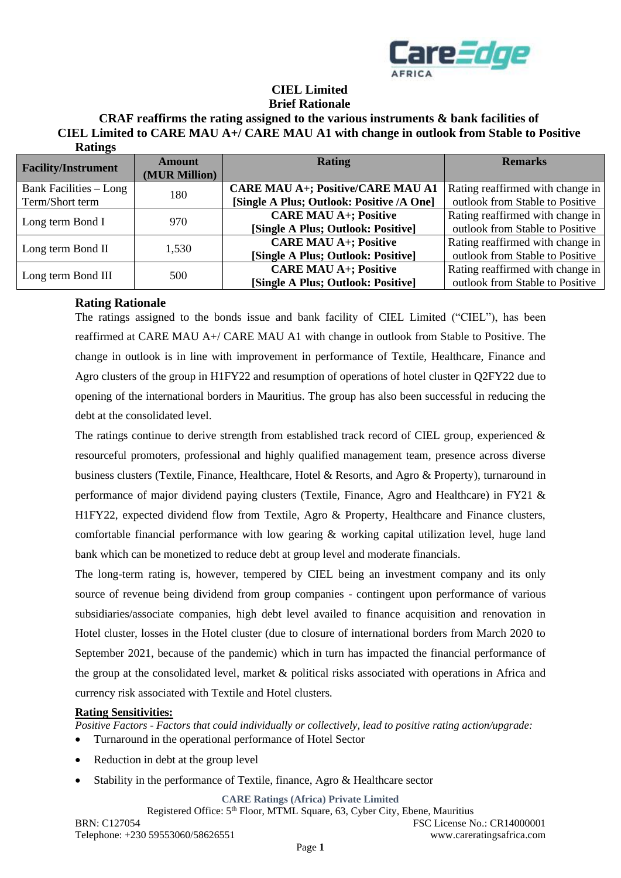

## **CIEL Limited Brief Rationale**

### **CRAF reaffirms the rating assigned to the various instruments & bank facilities of CIEL Limited to CARE MAU A+/ CARE MAU A1 with change in outlook from Stable to Positive Ratings**

| <b>Facility/Instrument</b>    | Amount<br>(MUR Million) | <b>Rating</b>                             | <b>Remarks</b>                   |
|-------------------------------|-------------------------|-------------------------------------------|----------------------------------|
| <b>Bank Facilities – Long</b> | 180                     | <b>CARE MAU A+; Positive/CARE MAU A1</b>  | Rating reaffirmed with change in |
| Term/Short term               |                         | [Single A Plus; Outlook: Positive /A One] | outlook from Stable to Positive  |
| Long term Bond I              | 970                     | <b>CARE MAU A+; Positive</b>              | Rating reaffirmed with change in |
|                               |                         | [Single A Plus; Outlook: Positive]        | outlook from Stable to Positive  |
| Long term Bond II             | 1,530                   | <b>CARE MAU A+; Positive</b>              | Rating reaffirmed with change in |
|                               |                         | [Single A Plus; Outlook: Positive]        | outlook from Stable to Positive  |
| Long term Bond III            | 500                     | <b>CARE MAU A+; Positive</b>              | Rating reaffirmed with change in |
|                               |                         | [Single A Plus; Outlook: Positive]        | outlook from Stable to Positive  |

## **Rating Rationale**

The ratings assigned to the bonds issue and bank facility of CIEL Limited ("CIEL"), has been reaffirmed at CARE MAU A+/ CARE MAU A1 with change in outlook from Stable to Positive. The change in outlook is in line with improvement in performance of Textile, Healthcare, Finance and Agro clusters of the group in H1FY22 and resumption of operations of hotel cluster in Q2FY22 due to opening of the international borders in Mauritius. The group has also been successful in reducing the debt at the consolidated level.

The ratings continue to derive strength from established track record of CIEL group, experienced  $\&$ resourceful promoters, professional and highly qualified management team, presence across diverse business clusters (Textile, Finance, Healthcare, Hotel & Resorts, and Agro & Property), turnaround in performance of major dividend paying clusters (Textile, Finance, Agro and Healthcare) in FY21 & H1FY22, expected dividend flow from Textile, Agro & Property, Healthcare and Finance clusters, comfortable financial performance with low gearing & working capital utilization level, huge land bank which can be monetized to reduce debt at group level and moderate financials.

The long-term rating is, however, tempered by CIEL being an investment company and its only source of revenue being dividend from group companies - contingent upon performance of various subsidiaries/associate companies, high debt level availed to finance acquisition and renovation in Hotel cluster, losses in the Hotel cluster (due to closure of international borders from March 2020 to September 2021, because of the pandemic) which in turn has impacted the financial performance of the group at the consolidated level, market & political risks associated with operations in Africa and currency risk associated with Textile and Hotel clusters.

### **Rating Sensitivities:**

*Positive Factors - Factors that could individually or collectively, lead to positive rating action/upgrade:*

- Turnaround in the operational performance of Hotel Sector
- Reduction in debt at the group level
- Stability in the performance of Textile, finance, Agro & Healthcare sector

**CARE Ratings (Africa) Private Limited**

Registered Office: 5<sup>th</sup> Floor, MTML Square, 63, Cyber City, Ebene, Mauritius BRN: C127054 FSC License No.: CR14000001 Telephone: +230 59553060/58626551 www.careratingsafrica.com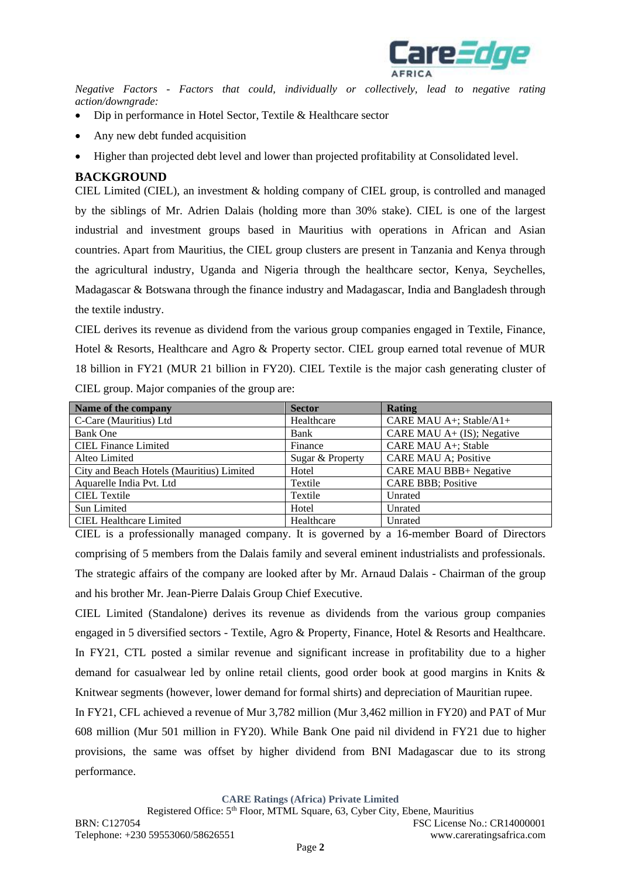

*Negative Factors - Factors that could, individually or collectively, lead to negative rating action/downgrade:*

- Dip in performance in Hotel Sector, Textile & Healthcare sector
- Any new debt funded acquisition
- Higher than projected debt level and lower than projected profitability at Consolidated level.

## **BACKGROUND**

CIEL Limited (CIEL), an investment & holding company of CIEL group, is controlled and managed by the siblings of Mr. Adrien Dalais (holding more than 30% stake). CIEL is one of the largest industrial and investment groups based in Mauritius with operations in African and Asian countries. Apart from Mauritius, the CIEL group clusters are present in Tanzania and Kenya through the agricultural industry, Uganda and Nigeria through the healthcare sector, Kenya, Seychelles, Madagascar & Botswana through the finance industry and Madagascar, India and Bangladesh through the textile industry.

CIEL derives its revenue as dividend from the various group companies engaged in Textile, Finance, Hotel & Resorts, Healthcare and Agro & Property sector. CIEL group earned total revenue of MUR 18 billion in FY21 (MUR 21 billion in FY20). CIEL Textile is the major cash generating cluster of CIEL group. Major companies of the group are:

| Name of the company                       | <b>Sector</b>    | Rating                        |
|-------------------------------------------|------------------|-------------------------------|
| C-Care (Mauritius) Ltd                    | Healthcare       | CARE MAU A+; Stable/A1+       |
| <b>Bank One</b>                           | Bank             | CARE MAU $A+$ (IS); Negative  |
| <b>CIEL Finance Limited</b>               | Finance          | CARE MAU A+; Stable           |
| Alteo Limited                             | Sugar & Property | <b>CARE MAU A; Positive</b>   |
| City and Beach Hotels (Mauritius) Limited | Hotel            | <b>CARE MAU BBB+ Negative</b> |
| Aquarelle India Pvt. Ltd                  | Textile          | <b>CARE BBB</b> ; Positive    |
| <b>CIEL Textile</b>                       | Textile          | Unrated                       |
| Sun Limited                               | Hotel            | Unrated                       |
| <b>CIEL Healthcare Limited</b>            | Healthcare       | Unrated                       |

CIEL is a professionally managed company. It is governed by a 16-member Board of Directors comprising of 5 members from the Dalais family and several eminent industrialists and professionals. The strategic affairs of the company are looked after by Mr. Arnaud Dalais - Chairman of the group and his brother Mr. Jean-Pierre Dalais Group Chief Executive.

CIEL Limited (Standalone) derives its revenue as dividends from the various group companies engaged in 5 diversified sectors - Textile, Agro & Property, Finance, Hotel & Resorts and Healthcare. In FY21, CTL posted a similar revenue and significant increase in profitability due to a higher demand for casualwear led by online retail clients, good order book at good margins in Knits & Knitwear segments (however, lower demand for formal shirts) and depreciation of Mauritian rupee.

In FY21, CFL achieved a revenue of Mur 3,782 million (Mur 3,462 million in FY20) and PAT of Mur 608 million (Mur 501 million in FY20). While Bank One paid nil dividend in FY21 due to higher provisions, the same was offset by higher dividend from BNI Madagascar due to its strong performance.

**CARE Ratings (Africa) Private Limited**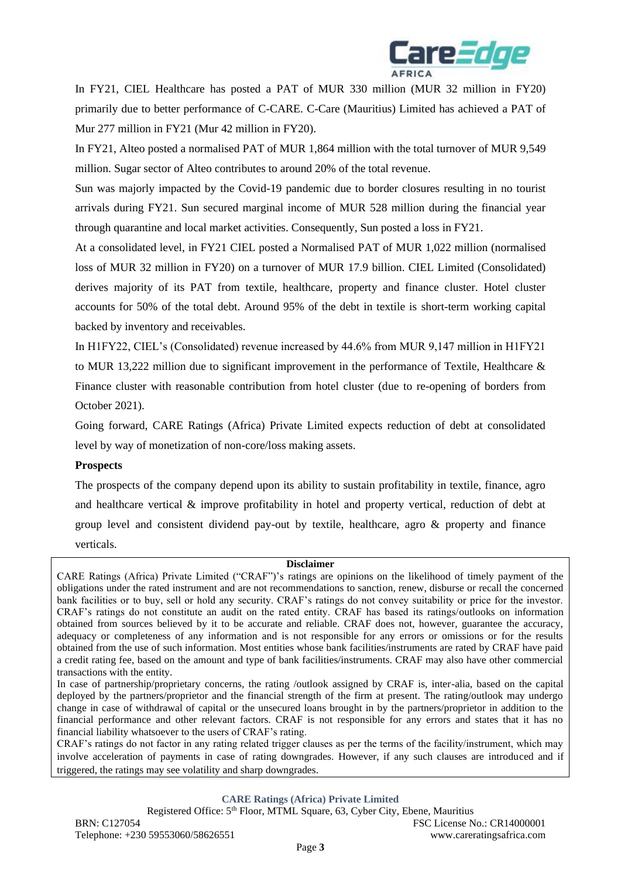

In FY21, CIEL Healthcare has posted a PAT of MUR 330 million (MUR 32 million in FY20) primarily due to better performance of C-CARE. C-Care (Mauritius) Limited has achieved a PAT of Mur 277 million in FY21 (Mur 42 million in FY20).

In FY21, Alteo posted a normalised PAT of MUR 1,864 million with the total turnover of MUR 9,549 million. Sugar sector of Alteo contributes to around 20% of the total revenue.

Sun was majorly impacted by the Covid-19 pandemic due to border closures resulting in no tourist arrivals during FY21. Sun secured marginal income of MUR 528 million during the financial year through quarantine and local market activities. Consequently, Sun posted a loss in FY21.

At a consolidated level, in FY21 CIEL posted a Normalised PAT of MUR 1,022 million (normalised loss of MUR 32 million in FY20) on a turnover of MUR 17.9 billion. CIEL Limited (Consolidated) derives majority of its PAT from textile, healthcare, property and finance cluster. Hotel cluster accounts for 50% of the total debt. Around 95% of the debt in textile is short-term working capital backed by inventory and receivables.

In H1FY22, CIEL's (Consolidated) revenue increased by 44.6% from MUR 9,147 million in H1FY21 to MUR 13,222 million due to significant improvement in the performance of Textile, Healthcare & Finance cluster with reasonable contribution from hotel cluster (due to re-opening of borders from October 2021).

Going forward, CARE Ratings (Africa) Private Limited expects reduction of debt at consolidated level by way of monetization of non-core/loss making assets.

### **Prospects**

The prospects of the company depend upon its ability to sustain profitability in textile, finance, agro and healthcare vertical & improve profitability in hotel and property vertical, reduction of debt at group level and consistent dividend pay-out by textile, healthcare, agro & property and finance verticals.

#### **Disclaimer**

CARE Ratings (Africa) Private Limited ("CRAF")'s ratings are opinions on the likelihood of timely payment of the obligations under the rated instrument and are not recommendations to sanction, renew, disburse or recall the concerned bank facilities or to buy, sell or hold any security. CRAF's ratings do not convey suitability or price for the investor. CRAF's ratings do not constitute an audit on the rated entity. CRAF has based its ratings/outlooks on information obtained from sources believed by it to be accurate and reliable. CRAF does not, however, guarantee the accuracy, adequacy or completeness of any information and is not responsible for any errors or omissions or for the results obtained from the use of such information. Most entities whose bank facilities/instruments are rated by CRAF have paid a credit rating fee, based on the amount and type of bank facilities/instruments. CRAF may also have other commercial transactions with the entity.

In case of partnership/proprietary concerns, the rating /outlook assigned by CRAF is, inter-alia, based on the capital deployed by the partners/proprietor and the financial strength of the firm at present. The rating/outlook may undergo change in case of withdrawal of capital or the unsecured loans brought in by the partners/proprietor in addition to the financial performance and other relevant factors. CRAF is not responsible for any errors and states that it has no financial liability whatsoever to the users of CRAF's rating.

CRAF's ratings do not factor in any rating related trigger clauses as per the terms of the facility/instrument, which may involve acceleration of payments in case of rating downgrades. However, if any such clauses are introduced and if triggered, the ratings may see volatility and sharp downgrades.